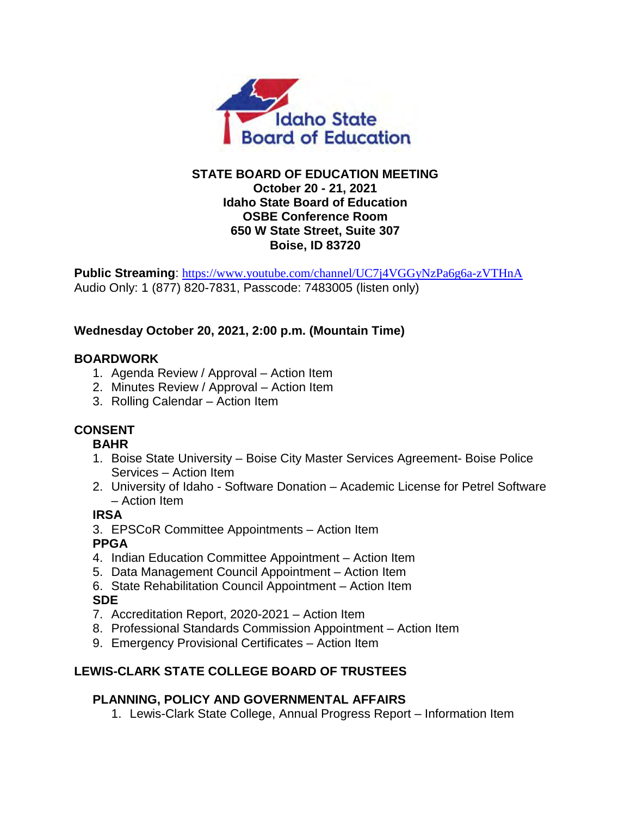

#### **STATE BOARD OF EDUCATION MEETING October 20 - 21, 2021 Idaho State Board of Education OSBE Conference Room 650 W State Street, Suite 307 Boise, ID 83720**

**Public Streaming**: <https://www.youtube.com/channel/UC7j4VGGyNzPa6g6a-zVTHnA> Audio Only: 1 (877) 820-7831, Passcode: 7483005 (listen only)

# **Wednesday October 20, 2021, 2:00 p.m. (Mountain Time)**

### **BOARDWORK**

- 1. Agenda Review / Approval Action Item
- 2. Minutes Review / Approval Action Item
- 3. Rolling Calendar Action Item

# **CONSENT**

#### **BAHR**

- 1. Boise State University Boise City Master Services Agreement- Boise Police Services – Action Item
- 2. University of Idaho Software Donation Academic License for Petrel Software – Action Item

# **IRSA**

3. EPSCoR Committee Appointments – Action Item

# **PPGA**

- 4. Indian Education Committee Appointment Action Item
- 5. Data Management Council Appointment Action Item
- 6. State Rehabilitation Council Appointment Action Item **SDE**
- 7. Accreditation Report, 2020-2021 Action Item
- 8. Professional Standards Commission Appointment Action Item
- 9. Emergency Provisional Certificates Action Item

# **LEWIS-CLARK STATE COLLEGE BOARD OF TRUSTEES**

# **PLANNING, POLICY AND GOVERNMENTAL AFFAIRS**

1. Lewis-Clark State College, Annual Progress Report – Information Item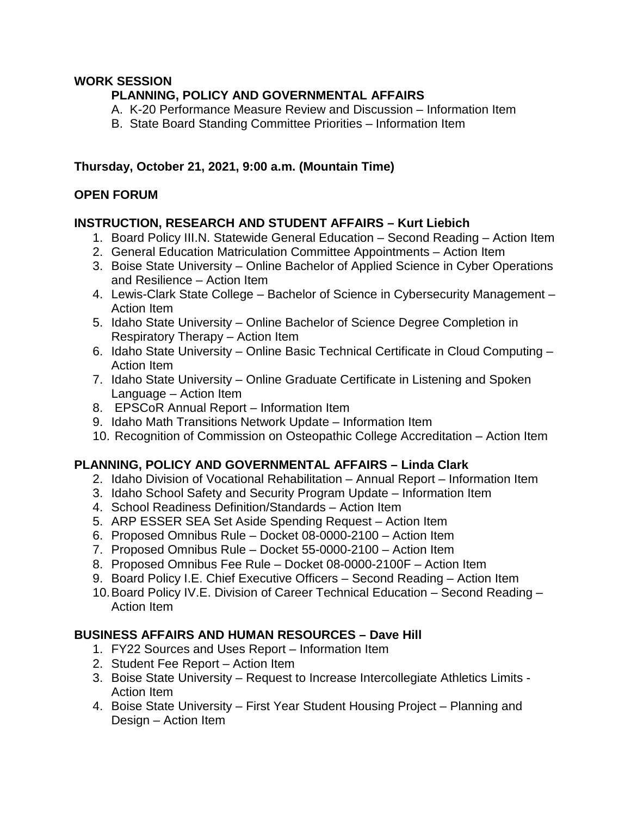## **WORK SESSION**

# **PLANNING, POLICY AND GOVERNMENTAL AFFAIRS**

- A. K-20 Performance Measure Review and Discussion Information Item
- B. State Board Standing Committee Priorities Information Item

## **Thursday, October 21, 2021, 9:00 a.m. (Mountain Time)**

### **OPEN FORUM**

### **INSTRUCTION, RESEARCH AND STUDENT AFFAIRS – Kurt Liebich**

- 1. Board Policy III.N. Statewide General Education Second Reading Action Item
- 2. General Education Matriculation Committee Appointments Action Item
- 3. Boise State University Online Bachelor of Applied Science in Cyber Operations and Resilience – Action Item
- 4. Lewis-Clark State College Bachelor of Science in Cybersecurity Management Action Item
- 5. Idaho State University Online Bachelor of Science Degree Completion in Respiratory Therapy – Action Item
- 6. Idaho State University Online Basic Technical Certificate in Cloud Computing Action Item
- 7. Idaho State University Online Graduate Certificate in Listening and Spoken Language – Action Item
- 8. EPSCoR Annual Report Information Item
- 9. Idaho Math Transitions Network Update Information Item
- 10. Recognition of Commission on Osteopathic College Accreditation Action Item

# **PLANNING, POLICY AND GOVERNMENTAL AFFAIRS – Linda Clark**

- 2. Idaho Division of Vocational Rehabilitation Annual Report Information Item
- 3. Idaho School Safety and Security Program Update Information Item
- 4. School Readiness Definition/Standards Action Item
- 5. ARP ESSER SEA Set Aside Spending Request Action Item
- 6. Proposed Omnibus Rule Docket 08-0000-2100 Action Item
- 7. Proposed Omnibus Rule Docket 55-0000-2100 Action Item
- 8. Proposed Omnibus Fee Rule Docket 08-0000-2100F Action Item
- 9. Board Policy I.E. Chief Executive Officers Second Reading Action Item
- 10.Board Policy IV.E. Division of Career Technical Education Second Reading Action Item

# **BUSINESS AFFAIRS AND HUMAN RESOURCES – Dave Hill**

- 1. FY22 Sources and Uses Report Information Item
- 2. Student Fee Report Action Item
- 3. Boise State University Request to Increase Intercollegiate Athletics Limits Action Item
- 4. Boise State University First Year Student Housing Project Planning and Design – Action Item